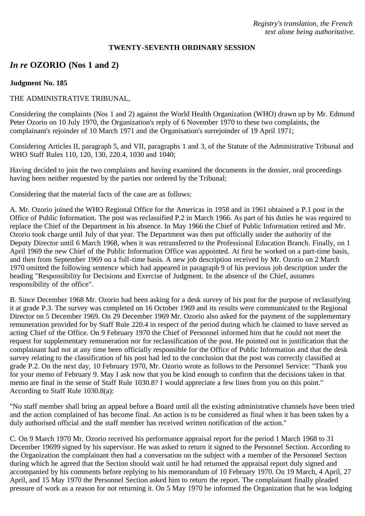### **TWENTY-SEVENTH ORDINARY SESSION**

# *In re* **OZORIO (Nos 1 and 2)**

#### **Judgment No. 185**

### THE ADMINISTRATIVE TRIBUNAL,

Considering the complaints (Nos 1 and 2) against the World Health Organization (WHO) drawn up by Mr. Edmund Peter Ozorio on 10 July 1970, the Organization's reply of 6 November 1970 to these two complaints, the complainant's rejoinder of 10 March 1971 and the Organisation's surrejoinder of 19 April 1971;

Considering Articles II, paragraph 5, and VII, paragraphs 1 and 3, of the Statute of the Administrative Tribunal and WHO Staff Rules 110, 120, 130, 220.4, 1030 and 1040;

Having decided to join the two complaints and having examined the documents in the dossier, oral proceedings having been neither requested by the parties nor ordered by the Tribunal;

Considering that the material facts of the case are as follows:

A. Mr. Ozorio joined the WHO Regional Office for the Americas in 1958 and in 1961 obtained a P.1 post in the Office of Public Information. The post was reclassified P.2 in March 1966. As part of his duties he was required to replace the Chief of the Department in his absence. In May 1966 the Chief of Public Information retired and Mr. Ozorio took charge until July of that year. The Department was then put officially under the authority of the Deputy Director until 6 March 1968, when it was retransferred to the Professional Education Branch. Finally, on 1 April 1969 the new Chief of the Public Information Office was appointed. At first he worked on a part-time basis, and then from September 1969 on a full-time basis. A new job description received by Mr. Ozorio on 2 March 1970 omitted the following sentence which had appeared in paragraph 9 of his previous job description under the heading "Responsibility for Decisions and Exercise of Judgment. In the absence of the Chief, assumes responsibility of the office".

B. Since December 1968 Mr. Ozorio had been asking for a desk survey of his post for the purpose of reclassifying it at grade P.3. The survey was completed on 16 October 1969 and its results were communicated to the Regional Director on 5 December 1969. On 29 December 1969 Mr. Ozorio also asked for the payment of the supplementary remuneration provided for by Staff Rule 220.4 in respect of the period during which he claimed to have served as acting Chief of the Office. On 9 February 1970 the Chief of Personnel informed him that he could not meet the request for supplementary remuneration nor for reclassification of the post. He pointed out in justification that the complainant had not at any time been officially responsible for the Office of Public Information and that the desk survey relating to the classification of his post had led to the conclusion that the post was correctly classified at grade P.2. On the next day, 10 February 1970, Mr. Ozorio wrote as follows to the Personnel Service: "Thank you for your memo of February 9. May I ask now that you be kind enough to confirm that the decisions taken in that memo are final in the sense of Staff Rule 1030.8? I would appreciate a few lines from you on this point." According to Staff Rule 1030.8(a):

"No staff member shall bring an appeal before a Board until all the existing administrative channels have been tried and the action complained of has become final. An action is to be considered as final when it has been taken by a duly authorised official and the staff member has received written notification of the action."

C. On 9 March 1970 Mr. Ozorio received his performance appraisal report for the period 1 March 1968 to 31 December 19699 signed by his supervisor. He was asked to return it signed to the Personnel Section. According to the Organization the complainant then had a conversation on the subject with a member of the Personnel Section during which he agreed that the Section should wait until he had returned the appraisal report duly signed and accompanied by his comments before replying to his memorandum of 10 February 1970. On 19 March, 4 April, 27 April, and 15 May 1970 the Personnel Section asked him to return the report. The complainant finally pleaded pressure of work as a reason for not returning it. On 5 May 1970 he informed the Organization that he was lodging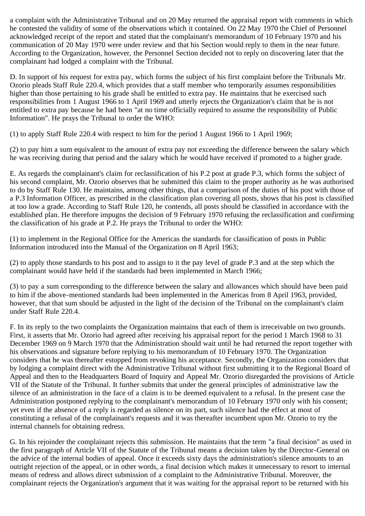a complaint with the Administrative Tribunal and on 20 May returned the appraisal report with comments in which he contested the validity of some of the observations which it contained. On 22 May 1970 the Chief of Personnel acknowledged receipt of the report and stated that the complainant's memorandum of 10 February 1970 and his communication of 20 May 1970 were under review and that his Section would reply to them in the near future. According to the Organization, however, the Personnel Section decided not to reply on discovering later that the complainant had lodged a complaint with the Tribunal.

D. In support of his request for extra pay, which forms the subject of his first complaint before the Tribunals Mr. Ozorio pleads Staff Rule 220.4, which provides that a staff member who temporarily assumes responsibilities higher than those pertaining to his grade shall be entitled to extra pay. He maintains that he exercised such responsibilities from 1 August 1966 to 1 April 1969 and utterly rejects the Organization's claim that he is not entitled to extra pay because he had been "at no time officially required to assume the responsibility of Public Information". He prays the Tribunal to order the WHO:

(1) to apply Staff Rule 220.4 with respect to him for the period 1 August 1966 to 1 April 1969;

(2) to pay him a sum equivalent to the amount of extra pay not exceeding the difference between the salary which he was receiving during that period and the salary which he would have received if promoted to a higher grade.

E. As regards the complainant's claim for reclassification of his P.2 post at grade P.3, which forms the subject of his second complaint, Mr. Ozorio observes that he submitted this claim to the proper authority as he was authorised to do by Staff Rule 130. He maintains, among other things, that a comparison of the duties of his post with those of a P.3 Information Officer, as prescribed in the classification plan covering all posts, shows that his post is classified at too low a grade. According to Staff Rule 120, he contends, all posts should be classified in accordance with the established plan. He therefore impugns the decision of 9 February 1970 refusing the reclassification and confirming the classification of his grade at P.2. He prays the Tribunal to order the WHO:

(1) to implement in the Regional Office for the Americas the standards for classification of posts in Public Information introduced into the Manual of the Organization on 8 April 1963;

(2) to apply those standards to his post and to assign to it the pay level of grade P.3 and at the step which the complainant would have held if the standards had been implemented in March 1966;

(3) to pay a sum corresponding to the difference between the salary and allowances which should have been paid to him if the above-mentioned standards had been implemented in the Americas from 8 April 1963, provided, however, that that sum should be adjusted in the light of the decision of the Tribunal on the complainant's claim under Staff Rule 220.4.

F. In its reply to the two complaints the Organization maintains that each of them is irreceivable on two grounds. First, it asserts that Mr. Ozorio had agreed after receiving his appraisal report for the period 1 March 1968 to 31 December 1969 on 9 March 1970 that the Administration should wait until he had returned the report together with his observations and signature before replying to his memorandum of 10 February 1970. The Organization considers that he was thereafter estopped from revoking his acceptance. Secondly, the Organization considers that by lodging a complaint direct with the Administrative Tribunal without first submitting it to the Regional Board of Appeal and then to the Headquarters Board of Inquiry and Appeal Mr. Ozorio disregarded the provisions of Article VII of the Statute of the Tribunal. It further submits that under the general principles of administrative law the silence of an administration in the face of a claim is to be deemed equivalent to a refusal. In the present case the Administration postponed replying to the complainant's memorandum of 10 February 1970 only with his consent; yet even if the absence of a reply is regarded as silence on its part, such silence had the effect at most of constituting a refusal of the complainant's requests and it was thereafter incumbent upon Mr. Ozorio to try the internal channels for obtaining redress.

G. In his rejoinder the complainant rejects this submission. He maintains that the term "a final decision" as used in the first paragraph of Article VII of the Statute of the Tribunal means a decision taken by the Director-General on the advice of the internal bodies of appeal. Once it exceeds sixty days the administration's silence amounts to an outright rejection of the appeal, or in other words, a final decision which makes it unnecessary to resort to internal means of redress and allows direct submission of a complaint to the Administrative Tribunal. Moreover, the complainant rejects the Organization's argument that it was waiting for the appraisal report to be returned with his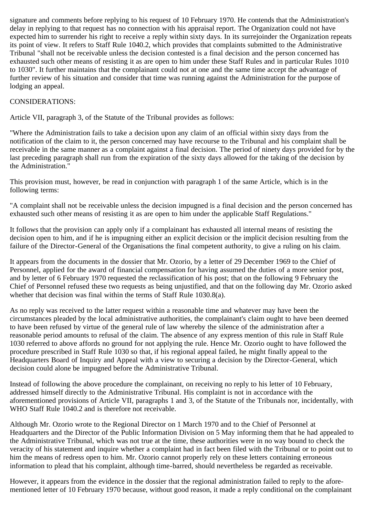signature and comments before replying to his request of 10 February 1970. He contends that the Administration's delay in replying to that request has no connection with his appraisal report. The Organization could not have expected him to surrender his right to receive a reply within sixty days. In its surrejoinder the Organization repeats its point of view. It refers to Staff Rule 1040.2, which provides that complaints submitted to the Administrative Tribunal "shall not be receivable unless the decision contested is a final decision and the person concerned has exhausted such other means of resisting it as are open to him under these Staff Rules and in particular Rules 1010 to 1030". It further maintains that the complainant could not at one and the same time accept the advantage of further review of his situation and consider that time was running against the Administration for the purpose of lodging an appeal.

## CONSIDERATIONS:

Article VII, paragraph 3, of the Statute of the Tribunal provides as follows:

"Where the Administration fails to take a decision upon any claim of an official within sixty days from the notification of the claim to it, the person concerned may have recourse to the Tribunal and his complaint shall be receivable in the same manner as a complaint against a final decision. The period of ninety days provided for by the last preceding paragraph shall run from the expiration of the sixty days allowed for the taking of the decision by the Administration."

This provision must, however, be read in conjunction with paragraph 1 of the same Article, which is in the following terms:

"A complaint shall not be receivable unless the decision impugned is a final decision and the person concerned has exhausted such other means of resisting it as are open to him under the applicable Staff Regulations."

It follows that the provision can apply only if a complainant has exhausted all internal means of resisting the decision open to him, and if he is impugning either an explicit decision or the implicit decision resulting from the failure of the Director-General of the Organisations the final competent authority, to give a ruling on his claim.

It appears from the documents in the dossier that Mr. Ozorio, by a letter of 29 December 1969 to the Chief of Personnel, applied for the award of financial compensation for having assumed the duties of a more senior post, and by letter of 6 February 1970 requested the reclassification of his post; that on the following 9 February the Chief of Personnel refused these two requests as being unjustified, and that on the following day Mr. Ozorio asked whether that decision was final within the terms of Staff Rule 1030.8(a).

As no reply was received to the latter request within a reasonable time and whatever may have been the circumstances pleaded by the local administrative authorities, the complainant's claim ought to have been deemed to have been refused by virtue of the general rule of law whereby the silence of the administration after a reasonable period amounts to refusal of the claim. The absence of any express mention of this rule in Staff Rule 1030 referred to above affords no ground for not applying the rule. Hence Mr. Ozorio ought to have followed the procedure prescribed in Staff Rule 1030 so that, if his regional appeal failed, he might finally appeal to the Headquarters Board of Inquiry and Appeal with a view to securing a decision by the Director-General, which decision could alone be impugned before the Administrative Tribunal.

Instead of following the above procedure the complainant, on receiving no reply to his letter of 10 February, addressed himself directly to the Administrative Tribunal. His complaint is not in accordance with the aforementioned provisions of Article VII, paragraphs 1 and 3, of the Statute of the Tribunals nor, incidentally, with WHO Staff Rule 1040.2 and is therefore not receivable.

Although Mr. Ozorio wrote to the Regional Director on 1 March 1970 and to the Chief of Personnel at Headquarters and the Director of the Public Information Division on 5 May informing them that he had appealed to the Administrative Tribunal, which was not true at the time, these authorities were in no way bound to check the veracity of his statement and inquire whether a complaint had in fact been filed with the Tribunal or to point out to him the means of redress open to him. Mr. Ozorio cannot properly rely on these letters containing erroneous information to plead that his complaint, although time-barred, should nevertheless be regarded as receivable.

However, it appears from the evidence in the dossier that the regional administration failed to reply to the aforementioned letter of 10 February 1970 because, without good reason, it made a reply conditional on the complainant